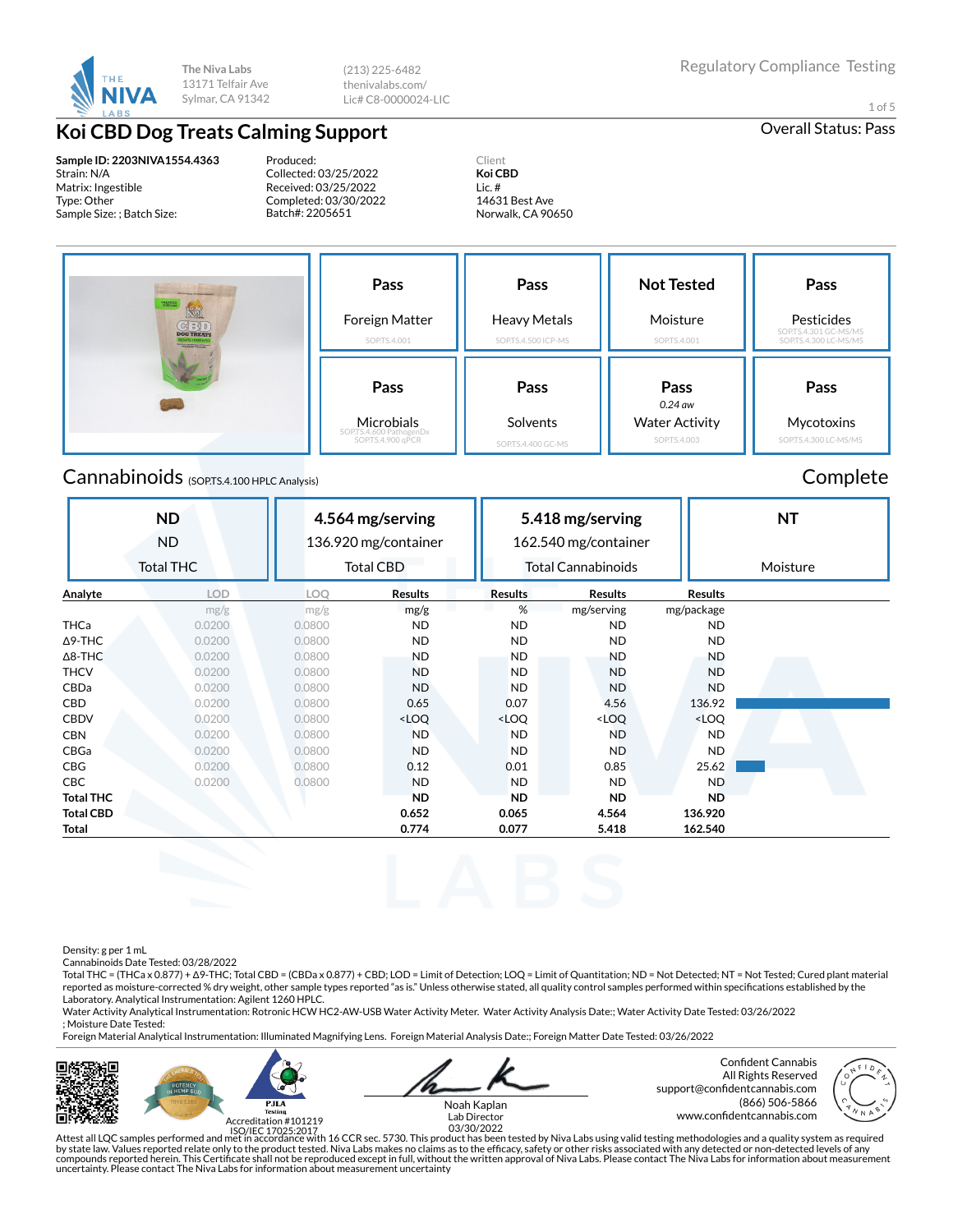

(213) 225-6482 thenivalabs.com/ Lic# C8-0000024-LIC

# **Koi CBD Dog Treats Calming Support Calming Support Calming Support Calming Support Calming Support Calming Support Calming Support Calming Support Calming Support Calming Support Calming Support Calm**

**Sample ID: 2203NIVA1554.4363** Strain: N/A Matrix: Ingestible Type: Other Sample Size: ; Batch Size:

Produced: Collected: 03/25/2022 Received: 03/25/2022 Completed: 03/30/2022 Batch#: 2205651

Client **Koi CBD** Lic. # 14631 Best Ave Norwalk, CA 90650 1 of 5

**Pass** Foreign Matter SOP.TS.4.001 **Pass** Heavy Metals SOP.TS.4.500 ICP-MS **Not Tested** Moisture SOP.TS.4.001 **Pass** Pesticides SOP.TS.4.301 GC-MS/MS SOP.TS.4.300 LC-MS/MS **Pass** Microbials SOP.TS.4.600 PathogenDx SOP.TS.4.900 qPCR **Pass** Solvents SOP.TS.4.400 GC-MS **Pass** *0.24 aw* Water Activity SOP.TS.4.003 **Pass Mycotoxins** SOP.TS.4.300 LC-MS/MS

# Cannabinoids (SOP.TS.4.100 HPLC Analysis) Complete

### **ND** ND Total THC **4.564 mg/serving** 136.920 mg/container Total CBD **5.418 mg/serving** 162.540 mg/container Total Cannabinoids **NT** Moisture **Analyte LOD LOQ Results Results Results Results** mg/g mg/g mg/g % mg/serving mg/package THCa 0.0200 0.0800 ND ND ND ND Δ9-THC 0.0200 0.0800 ND ND ND ND Δ8-THC 0.0200 0.0800 ND ND ND ND THCV 0.0200 0.0800 ND ND ND ND CBDa 0.0200 0.0800 ND ND ND ND **CBD 0.0200 0.0800 0.065 0.07 4.56 136.92** CBDV 0.0200 0.0800 <LOQ <LOQ <LOQ <LOQ CBN 0.0200 0.0800 ND ND ND ND CBGa 0.0200 0.0800 ND ND ND ND CBG 0.0200 0.0800 0.12 0.01 0.85 25.62 CBC 0.0200 0.0800 ND ND ND ND **Total THC ND ND ND ND Total CBD 0.652 0.065 4.564 136.920 Total 0.774 0.077 5.418 162.540**

Density: g per 1 mL

Cannabinoids Date Tested: 03/28/2022

Total THC = (THCa x 0.877) + Δ9-THC; Total CBD = (CBDa x 0.877) + CBD; LOD = Limit of Detection; LOQ = Limit of Quantitation; ND = Not Detected; NT = Not Tested; Cured plant material reported as moisture-corrected % dry weight, other sample types reported "as is." Unless otherwise stated, all quality control samples performed within specifications established by the Laboratory. Analytical Instrumentation: Agilent 1260 HPLC.

Water Activity Analytical Instrumentation: Rotronic HCW HC2-AW-USB Water Activity Meter. Water Activity Analysis Date:; Water Activity Date Tested: 03/26/2022 ; Moisture Date Tested:

Foreign Material Analytical Instrumentation: Illuminated Magnifying Lens. Foreign Material Analysis Date:; Foreign Matter Date Tested: 03/26/2022





Noah Kaplan

Confident Cannabis All Rights Reserved support@confidentcannabis.com (866) 506-5866



www.condentcannabis.com Lab Director 03/30/2022

Attest all LQC samples performed and met in accordance with 16 CCR sec. 5730. This product has been tested by Niva Labs using valid testing methodologies and a quality system as required by state law. Values reported relate only to the product tested. Niva Labs makes no claims as to the efficacy, safety or other risks associated with any detected or non-detected levels of any<br>compounds reported herein. Thi uncertainty. Please contact The Niva Labs for information about measurement uncertainty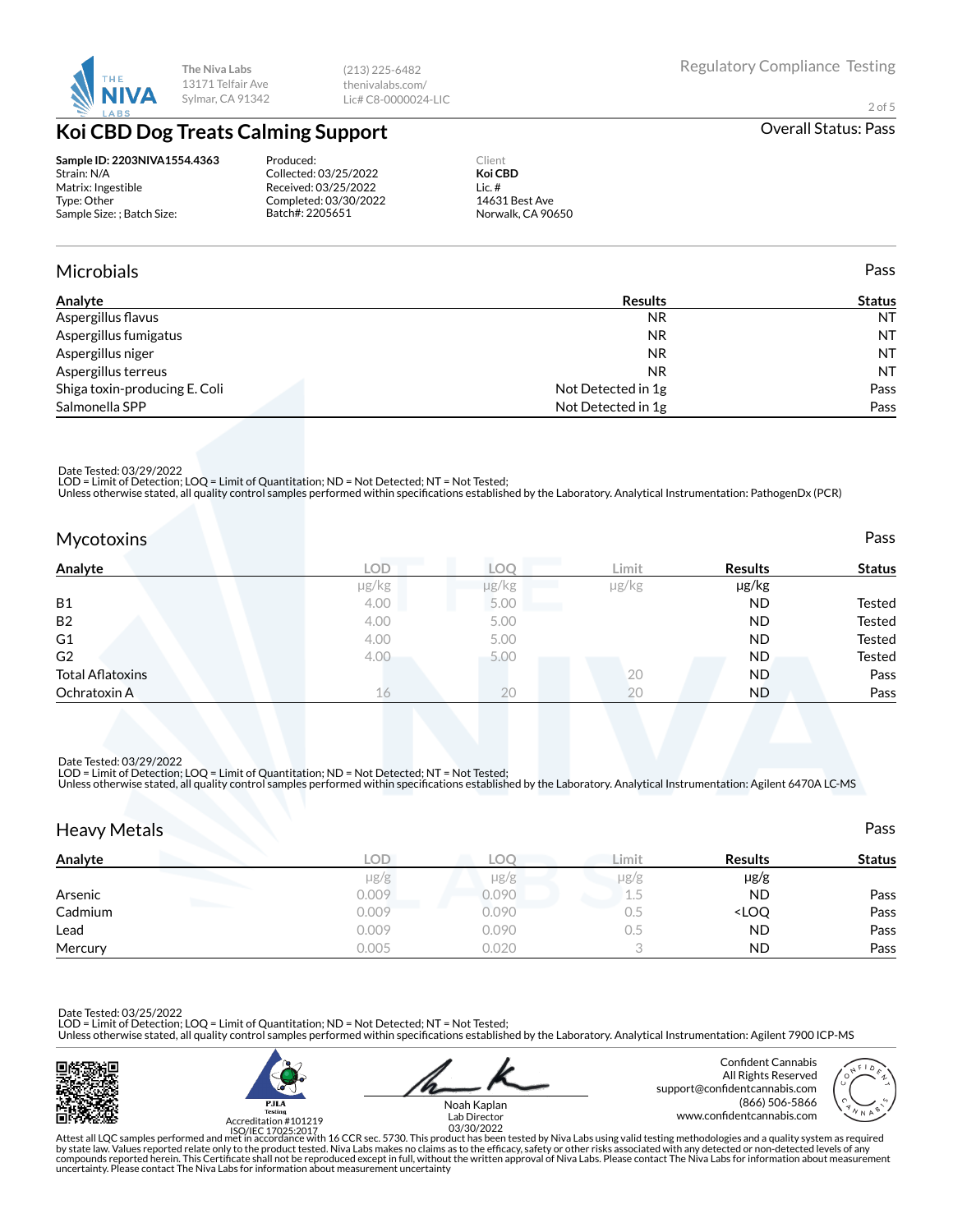

(213) 225-6482 thenivalabs.com/ Lic# C8-0000024-LIC

2 of 5

# **Koi CBD Dog Treats Calming Support Calming Support Calming Support Calming Support Calming Support Calming Support Calming Support Calming Support Calming Support Calming Support Calming Support Calm**

**Sample ID: 2203NIVA1554.4363** Strain: N/A Matrix: Ingestible Type: Other Sample Size: ; Batch Size:

Produced: Collected: 03/25/2022 Received: 03/25/2022 Completed: 03/30/2022 Batch#: 2205651

Client **Koi CBD** Lic. # 14631 Best Ave Norwalk, CA 90650

## Microbials Pass

| Analyte                       | <b>Results</b>     | <b>Status</b> |  |
|-------------------------------|--------------------|---------------|--|
| Aspergillus flavus            | <b>NR</b>          | <b>NT</b>     |  |
| Aspergillus fumigatus         | <b>NR</b>          | <b>NT</b>     |  |
| Aspergillus niger             | <b>NR</b>          | <b>NT</b>     |  |
| Aspergillus terreus           | NR.                | <b>NT</b>     |  |
| Shiga toxin-producing E. Coli | Not Detected in 1g | Pass          |  |
| Salmonella SPP                | Not Detected in 1g | Pass          |  |

Date Tested: 03/29/2022

LOD = Limit of Detection; LOQ = Limit of Quantitation; ND = Not Detected; NT = Not Tested;<br>Unless otherwise stated, all quality control samples performed within specifications established by the Laboratory. Analytical Inst

| <b>Mycotoxins</b>       |            |       |       |                | Pass          |
|-------------------------|------------|-------|-------|----------------|---------------|
| Analyte                 | <b>LOD</b> | LOO   | Limit | <b>Results</b> | <b>Status</b> |
|                         | µg/kg      | µg/kg | µg/kg | µg/kg          |               |
| <b>B1</b>               | 4.00       | 5.00  |       | <b>ND</b>      | Tested        |
| B <sub>2</sub>          | 4.00       | 5.00  |       | <b>ND</b>      | Tested        |
| G <sub>1</sub>          | 4.00       | 5.00  |       | <b>ND</b>      | Tested        |
| G <sub>2</sub>          | 4.00       | 5.00  |       | <b>ND</b>      | Tested        |
| <b>Total Aflatoxins</b> |            |       | 20    | <b>ND</b>      | Pass          |
| Ochratoxin A            | 16         | 20    | 20    | ND             | Pass          |

Date Tested: 03/29/2022 LOD = Limit of Detection; LOQ = Limit of Quantitation; ND = Not Detected; NT = Not Tested;

Unless otherwise stated, all quality control samples performed within specifications established by the Laboratory. Analytical Instrumentation: Agilent 6470A LC-MS

| <b>Heavy Metals</b>           |            |           |           |                                  | Pass          |
|-------------------------------|------------|-----------|-----------|----------------------------------|---------------|
| Analyte                       | <b>LOD</b> | LOO       | Limit     | <b>Results</b>                   | <b>Status</b> |
|                               | $\mu$ g/g  | $\mu$ g/g | $\mu$ g/g | $\mu$ g/g                        |               |
| Arsenic                       | 0.009      | 0.090     | 1.5       | <b>ND</b>                        | Pass          |
| <b>The Company</b><br>Cadmium | 0.009      | 0.090     | 0.5       | <loq< td=""><td>Pass</td></loq<> | Pass          |
| Lead                          | 0.009      | 0.090     | 0.5       | <b>ND</b>                        | Pass          |
| Mercury                       | 0.005      | 0.020     |           | <b>ND</b>                        | Pass          |

Date Tested: 03/25/2022 LOD = Limit of Detection; LOQ = Limit of Quantitation; ND = Not Detected; NT = Not Tested;

Unless otherwise stated, all quality control samples performed within specifications established by the Laboratory. Analytical Instrumentation: Agilent 7900 ICP-MS





Confident Cannabis All Rights Reserved support@confidentcannabis.com (866) 506-5866



www.condentcannabis.com Lab Director 03/30/2022Noah Kaplan

Attest all LQC samples performed and met in accordance with 16 CCR sec. 5730. This product has been tested by Niva Labs using valid testing methodologies and a quality system as required<br>by state law. Values reported relat uncertainty. Please contact The Niva Labs for information about measurement uncertainty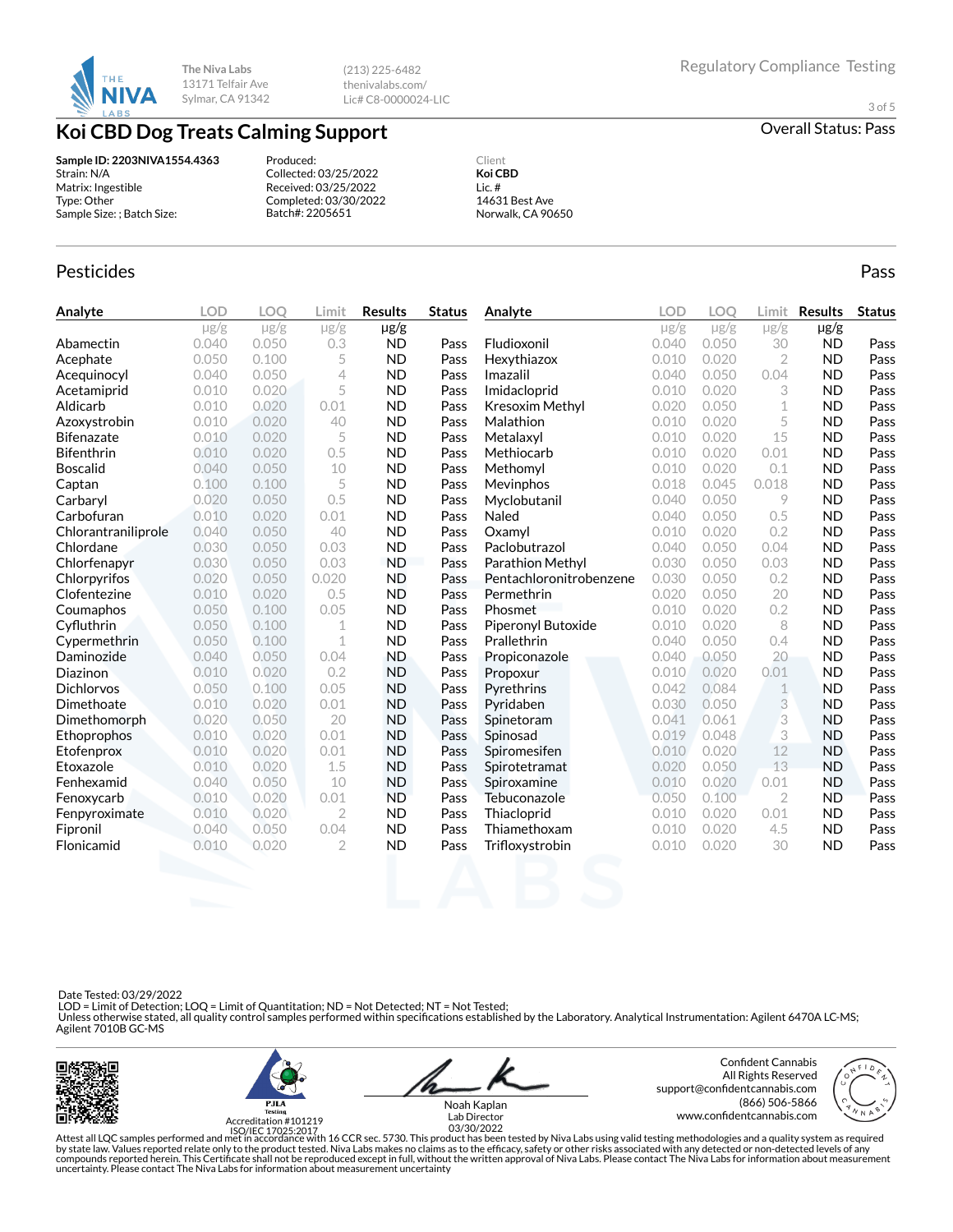

(213) 225-6482 thenivalabs.com/ Lic# C8-0000024-LIC

3 of 5

**Koi CBD Dog Treats Calming Support Calming Support** Overall Status: Pass

### **Sample ID: 2203NIVA1554.4363** Strain: N/A Matrix: Ingestible Type: Other Sample Size: ; Batch Size:

Produced: Collected: 03/25/2022 Received: 03/25/2022 Completed: 03/30/2022 Batch#: 2205651

Client **Koi CBD** Lic. # 14631 Best Ave Norwalk, CA 90650

## Pesticides **Passage Community Community Community** Passes and the extension of the extension of the extension of the extension of the extension of the extension of the extension of the extension of the extension of the ext

| Analyte             | <b>LOD</b> | LOO       | Limit          | <b>Results</b> | <b>Status</b> | Analyte                 | OD.       | LOO       | Limit          | <b>Results</b> | <b>Status</b> |
|---------------------|------------|-----------|----------------|----------------|---------------|-------------------------|-----------|-----------|----------------|----------------|---------------|
|                     | $\mu$ g/g  | $\mu$ g/g | $\mu$ g/g      | µg/g           |               |                         | $\mu$ g/g | $\mu$ g/g | $\mu$ g/g      | $\mu$ g/g      |               |
| Abamectin           | 0.040      | 0.050     | 0.3            | <b>ND</b>      | Pass          | Fludioxonil             | 0.040     | 0.050     | 30             | <b>ND</b>      | Pass          |
| Acephate            | 0.050      | 0.100     | 5              | <b>ND</b>      | Pass          | Hexythiazox             | 0.010     | 0.020     | $\overline{2}$ | <b>ND</b>      | Pass          |
| Acequinocyl         | 0.040      | 0.050     | 4              | <b>ND</b>      | Pass          | Imazalil                | 0.040     | 0.050     | 0.04           | <b>ND</b>      | Pass          |
| Acetamiprid         | 0.010      | 0.020     | 5              | <b>ND</b>      | Pass          | Imidacloprid            | 0.010     | 0.020     | 3              | <b>ND</b>      | Pass          |
| Aldicarb            | 0.010      | 0.020     | 0.01           | <b>ND</b>      | Pass          | Kresoxim Methyl         | 0.020     | 0.050     | 1              | <b>ND</b>      | Pass          |
| Azoxystrobin        | 0.010      | 0.020     | 40             | <b>ND</b>      | Pass          | Malathion               | 0.010     | 0.020     | 5              | <b>ND</b>      | Pass          |
| <b>Bifenazate</b>   | 0.010      | 0.020     | 5              | <b>ND</b>      | Pass          | Metalaxyl               | 0.010     | 0.020     | 15             | <b>ND</b>      | Pass          |
| Bifenthrin          | 0.010      | 0.020     | 0.5            | <b>ND</b>      | Pass          | Methiocarb              | 0.010     | 0.020     | 0.01           | <b>ND</b>      | Pass          |
| <b>Boscalid</b>     | 0.040      | 0.050     | 10             | <b>ND</b>      | Pass          | Methomyl                | 0.010     | 0.020     | 0.1            | <b>ND</b>      | Pass          |
| Captan              | 0.100      | 0.100     | 5              | <b>ND</b>      | Pass          | Mevinphos               | 0.018     | 0.045     | 0.018          | <b>ND</b>      | Pass          |
| Carbaryl            | 0.020      | 0.050     | 0.5            | <b>ND</b>      | Pass          | Myclobutanil            | 0.040     | 0.050     | 9              | <b>ND</b>      | Pass          |
| Carbofuran          | 0.010      | 0.020     | 0.01           | <b>ND</b>      | Pass          | Naled                   | 0.040     | 0.050     | 0.5            | <b>ND</b>      | Pass          |
| Chlorantraniliprole | 0.040      | 0.050     | 40             | <b>ND</b>      | Pass          | Oxamyl                  | 0.010     | 0.020     | 0.2            | <b>ND</b>      | Pass          |
| Chlordane           | 0.030      | 0.050     | 0.03           | <b>ND</b>      | Pass          | Paclobutrazol           | 0.040     | 0.050     | 0.04           | <b>ND</b>      | Pass          |
| Chlorfenapyr        | 0.030      | 0.050     | 0.03           | <b>ND</b>      | Pass          | <b>Parathion Methyl</b> | 0.030     | 0.050     | 0.03           | <b>ND</b>      | Pass          |
| Chlorpyrifos        | 0.020      | 0.050     | 0.020          | <b>ND</b>      | Pass          | Pentachloronitrobenzene | 0.030     | 0.050     | 0.2            | <b>ND</b>      | Pass          |
| Clofentezine        | 0.010      | 0.020     | 0.5            | <b>ND</b>      | Pass          | Permethrin              | 0.020     | 0.050     | 20             | <b>ND</b>      | Pass          |
| Coumaphos           | 0.050      | 0.100     | 0.05           | <b>ND</b>      | Pass          | Phosmet                 | 0.010     | 0.020     | 0.2            | <b>ND</b>      | Pass          |
| Cyfluthrin          | 0.050      | 0.100     | 1              | <b>ND</b>      | Pass          | Piperonyl Butoxide      | 0.010     | 0.020     | 8              | <b>ND</b>      | Pass          |
| Cypermethrin        | 0.050      | 0.100     | $\mathbf 1$    | <b>ND</b>      | Pass          | Prallethrin             | 0.040     | 0.050     | 0.4            | <b>ND</b>      | Pass          |
| Daminozide          | 0.040      | 0.050     | 0.04           | <b>ND</b>      | Pass          | Propiconazole           | 0.040     | 0.050     | 20             | <b>ND</b>      | Pass          |
| <b>Diazinon</b>     | 0.010      | 0.020     | 0.2            | <b>ND</b>      | Pass          | Propoxur                | 0.010     | 0.020     | 0.01           | <b>ND</b>      | Pass          |
| <b>Dichlorvos</b>   | 0.050      | 0.100     | 0.05           | <b>ND</b>      | Pass          | Pyrethrins              | 0.042     | 0.084     | 1              | <b>ND</b>      | Pass          |
| Dimethoate          | 0.010      | 0.020     | 0.01           | <b>ND</b>      | Pass          | Pyridaben               | 0.030     | 0.050     | 3              | <b>ND</b>      | Pass          |
| Dimethomorph        | 0.020      | 0.050     | 20             | <b>ND</b>      | Pass          | Spinetoram              | 0.041     | 0.061     | 3              | <b>ND</b>      | Pass          |
| Ethoprophos         | 0.010      | 0.020     | 0.01           | <b>ND</b>      | Pass          | Spinosad                | 0.019     | 0.048     | 3              | <b>ND</b>      | Pass          |
| Etofenprox          | 0.010      | 0.020     | 0.01           | <b>ND</b>      | Pass          | Spiromesifen            | 0.010     | 0.020     | 12             | <b>ND</b>      | Pass          |
| Etoxazole           | 0.010      | 0.020     | 1.5            | <b>ND</b>      | Pass          | Spirotetramat           | 0.020     | 0.050     | 13             | <b>ND</b>      | Pass          |
| Fenhexamid          | 0.040      | 0.050     | 10             | <b>ND</b>      | Pass          | Spiroxamine             | 0.010     | 0.020     | 0.01           | <b>ND</b>      | Pass          |
| Fenoxycarb          | 0.010      | 0.020     | 0.01           | <b>ND</b>      | Pass          | Tebuconazole            | 0.050     | 0.100     | $\mathbf{2}$   | <b>ND</b>      | Pass          |
| Fenpyroximate       | 0.010      | 0.020     | $\overline{2}$ | <b>ND</b>      | Pass          | Thiacloprid             | 0.010     | 0.020     | 0.01           | <b>ND</b>      | Pass          |
| Fipronil            | 0.040      | 0.050     | 0.04           | <b>ND</b>      | Pass          | Thiamethoxam            | 0.010     | 0.020     | 4.5            | <b>ND</b>      | Pass          |
| Flonicamid          | 0.010      | 0.020     | $\overline{2}$ | <b>ND</b>      | Pass          | Trifloxystrobin         | 0.010     | 0.020     | 30             | <b>ND</b>      | Pass          |
|                     |            |           |                |                |               |                         |           |           |                |                |               |

Date Tested: 03/29/2022

 LOD = Limit of Detection; LOQ = Limit of Quantitation; ND = Not Detected; NT = Not Tested; Unless otherwise stated, all quality control samples performed within specifications established by the Laboratory. Analytical Instrumentation: Agilent 6470A LC-MS;<br>Agilent 7010B GC-MS





Confident Cannabis All Rights Reserved support@confidentcannabis.com (866) 506-5866



www.condentcannabis.com Lab Director 03/30/2022Noah Kaplan

Attest all LQC samples performed and met in accordance with 16 CCR sec. 5730. This product has been tested by Niva Labs using valid testing methodologies and a quality system as required<br>by state law. Values reported relat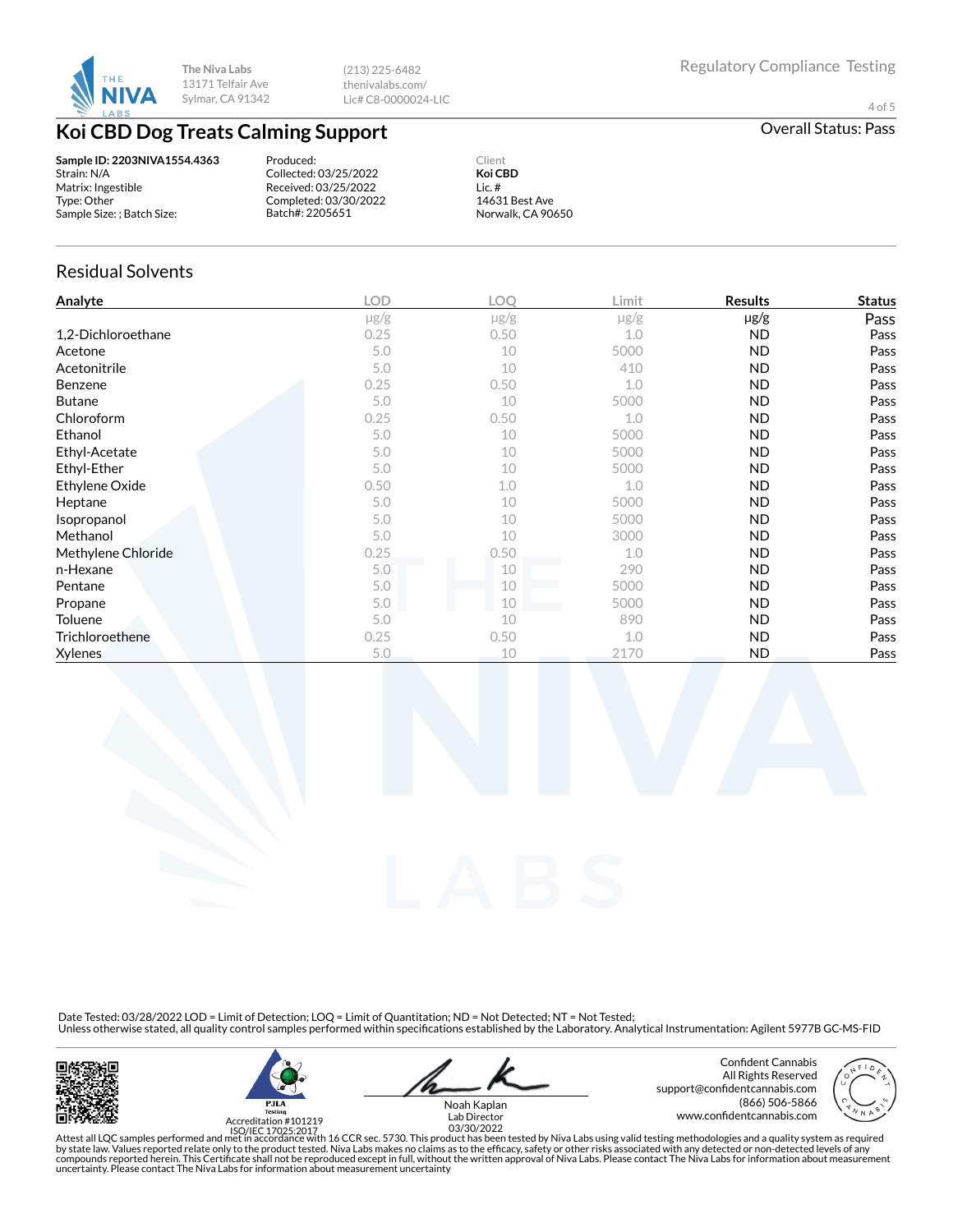

(213) 225-6482 thenivalabs.com/ Lic# C8-0000024-LIC

4 of 5

# **Koi CBD Dog Treats Calming Support Calming Support Calming Support Calming Support Calming Support Calming Support Calming Support Calming Support Calming Support Calming Support Calming Support Calm**

**Sample ID: 2203NIVA1554.4363** Strain: N/A Matrix: Ingestible Type: Other Sample Size: ; Batch Size:

Produced: Collected: 03/25/2022 Received: 03/25/2022 Completed: 03/30/2022 Batch#: 2205651

**Koi CBD** Lic. # 14631 Best Ave Norwalk, CA 90650

Client

### Residual Solvents

| Analyte            | <b>LOD</b> | <b>LOO</b> | Limit     | <b>Results</b> | <b>Status</b> |
|--------------------|------------|------------|-----------|----------------|---------------|
|                    | $\mu$ g/g  | $\mu$ g/g  | $\mu$ g/g | $\mu$ g/g      | Pass          |
| 1,2-Dichloroethane | 0.25       | 0.50       | 1.0       | ND.            | Pass          |
| Acetone            | 5.0        | 10         | 5000      | <b>ND</b>      | Pass          |
| Acetonitrile       | 5.0        | 10         | 410       | <b>ND</b>      | Pass          |
| <b>Benzene</b>     | 0.25       | 0.50       | 1.0       | ND.            | Pass          |
| <b>Butane</b>      | 5.0        | 10         | 5000      | <b>ND</b>      | Pass          |
| Chloroform         | 0.25       | 0.50       | 1.0       | <b>ND</b>      | Pass          |
| Ethanol            | 5.0        | 10         | 5000      | <b>ND</b>      | Pass          |
| Ethyl-Acetate      | 5.0        | 10         | 5000      | ND.            | Pass          |
| Ethyl-Ether        | 5.0        | 10         | 5000      | <b>ND</b>      | Pass          |
| Ethylene Oxide     | 0.50       | 1.0        | 1.0       | <b>ND</b>      | Pass          |
| Heptane            | 5.0        | 10         | 5000      | <b>ND</b>      | Pass          |
| Isopropanol        | 5.0        | 10         | 5000      | <b>ND</b>      | Pass          |
| Methanol           | 5.0        | 10         | 3000      | <b>ND</b>      | Pass          |
| Methylene Chloride | 0.25       | 0.50       | 1.0       | <b>ND</b>      | Pass          |
| n-Hexane           | 5.0        | 10         | 290       | <b>ND</b>      | Pass          |
| Pentane            | 5.0        | 10         | 5000      | <b>ND</b>      | Pass          |
| Propane            | 5.0        | 10         | 5000      | ND             | Pass          |
| Toluene            | 5.0        | 10         | 890       | ND.            | Pass          |
| Trichloroethene    | 0.25       | 0.50       | 1.0       | <b>ND</b>      | Pass          |
| <b>Xylenes</b>     | 5.0        | 10         | 2170      | <b>ND</b>      | Pass          |

Date Tested: 03/28/2022 LOD = Limit of Detection; LOQ = Limit of Quantitation; ND = Not Detected; NT = Not Tested;<br>Unless otherwise stated, all quality control samples performed within specifications established by the Lab





Noah Kaplan

Confident Cannabis All Rights Reserved support@confidentcannabis.com (866) 506-5866 www.condentcannabis.com Lab Director 03/30/2022



Attest all LQC samples performed and met in accordance with 16 CCR sec. 5730. This product has been tested by Niva Labs using valid testing methodologies and a quality system as required<br>by state law. Values reported relat